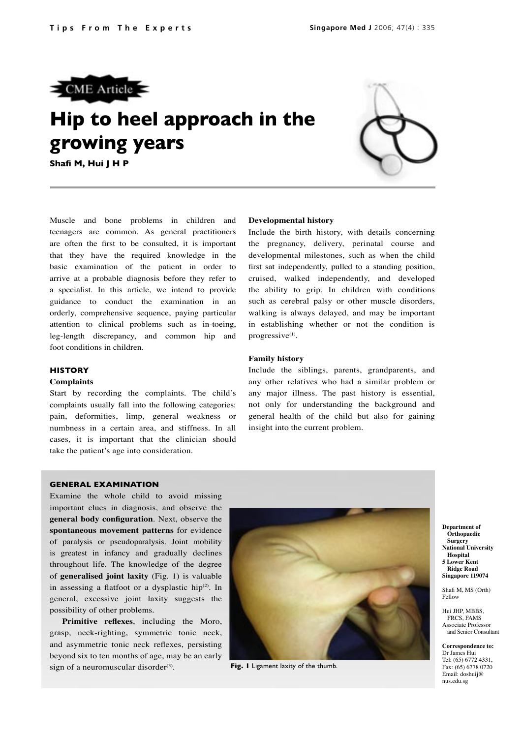

# **Hip to heel approach in the growing years**

**Shafi M, Hui J H P**



Muscle and bone problems in children and teenagers are common. As general practitioners are often the first to be consulted, it is important that they have the required knowledge in the basic examination of the patient in order to arrive at a probable diagnosis before they refer to a specialist. In this article, we intend to provide guidance to conduct the examination in an orderly, comprehensive sequence, paying particular attention to clinical problems such as in-toeing, leg-length discrepancy, and common hip and foot conditions in children.

## **HISTORY**

#### **Complaints**

Start by recording the complaints. The child's complaints usually fall into the following categories: pain, deformities, limp, general weakness or numbness in a certain area, and stiffness. In all cases, it is important that the clinician should take the patient's age into consideration.

### **Developmental history**

Include the birth history, with details concerning the pregnancy, delivery, perinatal course and developmental milestones, such as when the child first sat independently, pulled to a standing position, cruised, walked independently, and developed the ability to grip. In children with conditions such as cerebral palsy or other muscle disorders, walking is always delayed, and may be important in establishing whether or not the condition is progressive<sup>(1)</sup>.

#### **Family history**

Include the siblings, parents, grandparents, and any other relatives who had a similar problem or any major illness. The past history is essential, not only for understanding the background and general health of the child but also for gaining insight into the current problem.

#### **GENERAL EXAMINATION**

Examine the whole child to avoid missing important clues in diagnosis, and observe the **general body configuration**. Next, observe the **spontaneous movement patterns** for evidence of paralysis or pseudoparalysis. Joint mobility is greatest in infancy and gradually declines throughout life. The knowledge of the degree of **generalised joint laxity** (Fig. 1) is valuable in assessing a flatfoot or a dysplastic hip<sup>(2)</sup>. In general, excessive joint laxity suggests the possibility of other problems.

**Primitive reflexes**, including the Moro, grasp, neck-righting, symmetric tonic neck, and asymmetric tonic neck reflexes, persisting beyond six to ten months of age, may be an early sign of a neuromuscular disorder<sup>(3)</sup>. **Fig. I** Ligament laxity of the thumb.



**Department of Orthopaedic Surgery National University Hospital 5 Lower Kent Ridge Road Singapore 119074**

Shafi M, MS (Orth) Fellow

Hui JHP, MBBS, FRCS, FAMS

Associate Professor and Senior Consultant

**Correspondence to:** Dr James Hui Tel: (65) 6772 4331, Fax: (65) 6778 0720 Email: doshuij@ nus.edu.sg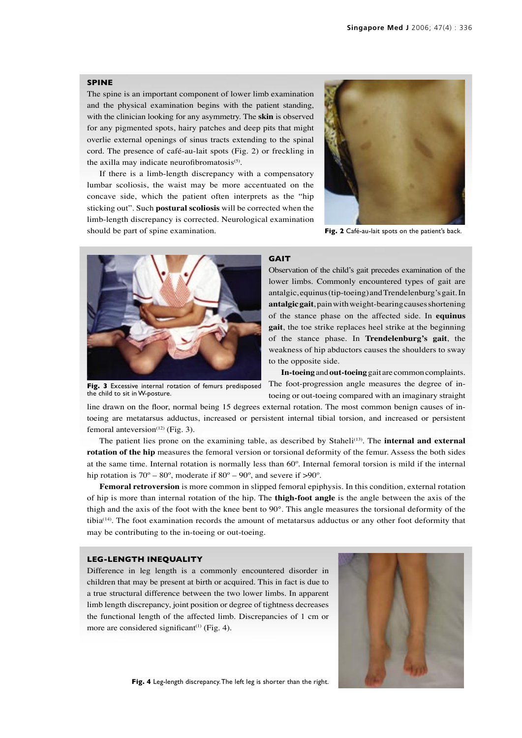#### **SPINE**

The spine is an important component of lower limb examination and the physical examination begins with the patient standing, with the clinician looking for any asymmetry. The **skin** is observed for any pigmented spots, hairy patches and deep pits that might overlie external openings of sinus tracts extending to the spinal cord. The presence of café-au-lait spots (Fig. 2) or freckling in the axilla may indicate neurofibromatosis $(5)$ .

If there is a limb-length discrepancy with a compensatory lumbar scoliosis, the waist may be more accentuated on the concave side, which the patient often interprets as the "hip sticking out". Such **postural scoliosis** will be corrected when the limb-length discrepancy is corrected. Neurological examination should be part of spine examination.



Fig. 2 Café-au-lait spots on the patient's back.



**Fig. 3** Excessive internal rotation of femurs predisposed the child to sit in W-posture.

#### **GAIT**

Observation of the child's gait precedes examination of the lower limbs. Commonly encountered types of gait are antalgic, equinus (tip-toeing) and Trendelenburg's gait. In **antalgic gait**, pain with weight-bearing causes shortening of the stance phase on the affected side. In **equinus gait**, the toe strike replaces heel strike at the beginning of the stance phase. In **Trendelenburg's gait**, the weakness of hip abductors causes the shoulders to sway to the opposite side.

**In-toeing** and **out-toeing** gait are common complaints. The foot-progression angle measures the degree of intoeing or out-toeing compared with an imaginary straight

line drawn on the floor, normal being 15 degrees external rotation. The most common benign causes of intoeing are metatarsus adductus, increased or persistent internal tibial torsion, and increased or persistent femoral anteversion<sup> $(12)$ </sup> (Fig. 3).

The patient lies prone on the examining table, as described by Staheli<sup>(13)</sup>. The **internal and external rotation of the hip** measures the femoral version or torsional deformity of the femur. Assess the both sides at the same time. Internal rotation is normally less than 60º. Internal femoral torsion is mild if the internal hip rotation is 70 $^{\circ}$  – 80 $^{\circ}$ , moderate if 80 $^{\circ}$  – 90 $^{\circ}$ , and severe if >90 $^{\circ}$ .

**Femoral retroversion** is more common in slipped femoral epiphysis. In this condition, external rotation of hip is more than internal rotation of the hip. The **thigh-foot angle** is the angle between the axis of the thigh and the axis of the foot with the knee bent to 90°. This angle measures the torsional deformity of the tibia(14). The foot examination records the amount of metatarsus adductus or any other foot deformity that may be contributing to the in-toeing or out-toeing.

#### **LEG-LENGTH INEQUALITY**

Difference in leg length is a commonly encountered disorder in children that may be present at birth or acquired. This in fact is due to a true structural difference between the two lower limbs. In apparent limb length discrepancy, joint position or degree of tightness decreases the functional length of the affected limb. Discrepancies of 1 cm or more are considered significant<sup> $(1)$ </sup> (Fig. 4).



**Fig. 4** Leg-length discrepancy. The left leg is shorter than the right.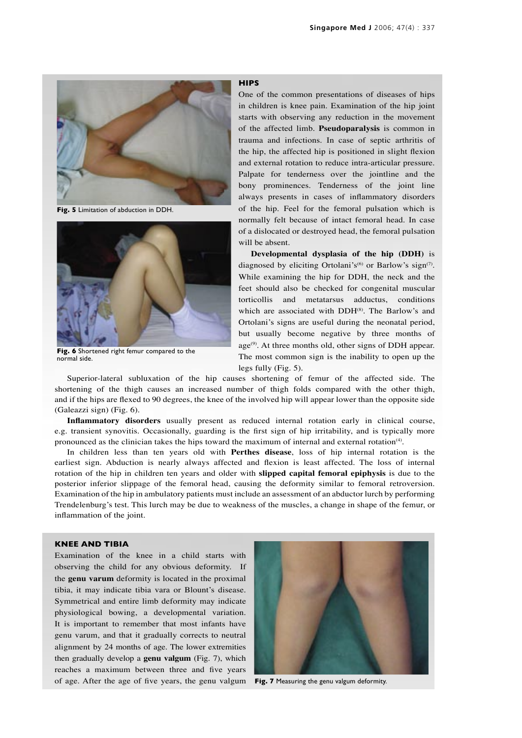

**Fig. 5** Limitation of abduction in DDH.



**Fig. 6** Shortened right femur compared to the normal side.

#### **HIPS**

One of the common presentations of diseases of hips in children is knee pain. Examination of the hip joint starts with observing any reduction in the movement of the affected limb. **Pseudoparalysis** is common in trauma and infections. In case of septic arthritis of the hip, the affected hip is positioned in slight flexion and external rotation to reduce intra-articular pressure. Palpate for tenderness over the jointline and the bony prominences. Tenderness of the joint line always presents in cases of inflammatory disorders of the hip. Feel for the femoral pulsation which is normally felt because of intact femoral head. In case of a dislocated or destroyed head, the femoral pulsation will be absent.

**Developmental dysplasia of the hip (DDH)** is diagnosed by eliciting Ortolani's<sup>(6)</sup> or Barlow's sign<sup>(7)</sup>. While examining the hip for DDH, the neck and the feet should also be checked for congenital muscular torticollis and metatarsus adductus, conditions which are associated with DDH<sup>(8)</sup>. The Barlow's and Ortolani's signs are useful during the neonatal period, but usually become negative by three months of  $age^{(9)}$ . At three months old, other signs of DDH appear. The most common sign is the inability to open up the legs fully (Fig. 5).

Superior-lateral subluxation of the hip causes shortening of femur of the affected side. The shortening of the thigh causes an increased number of thigh folds compared with the other thigh, and if the hips are flexed to 90 degrees, the knee of the involved hip will appear lower than the opposite side (Galeazzi sign) (Fig. 6).

**Inflammatory disorders** usually present as reduced internal rotation early in clinical course, e.g. transient synovitis. Occasionally, guarding is the first sign of hip irritability, and is typically more pronounced as the clinician takes the hips toward the maximum of internal and external rotation<sup>(4)</sup>.

In children less than ten years old with **Perthes disease**, loss of hip internal rotation is the earliest sign. Abduction is nearly always affected and flexion is least affected. The loss of internal rotation of the hip in children ten years and older with **slipped capital femoral epiphysis** is due to the posterior inferior slippage of the femoral head, causing the deformity similar to femoral retroversion. Examination of the hip in ambulatory patients must include an assessment of an abductor lurch by performing Trendelenburg's test. This lurch may be due to weakness of the muscles, a change in shape of the femur, or inflammation of the joint.

#### **KNEE AND TIBIA**

Examination of the knee in a child starts with observing the child for any obvious deformity. If the **genu varum** deformity is located in the proximal tibia, it may indicate tibia vara or Blount's disease. Symmetrical and entire limb deformity may indicate physiological bowing, a developmental variation. It is important to remember that most infants have genu varum, and that it gradually corrects to neutral alignment by 24 months of age. The lower extremities then gradually develop a **genu valgum** (Fig. 7), which reaches a maximum between three and five years of age. After the age of five years, the genu valgum **Fig. 7** Measuring the genu valgum deformity.

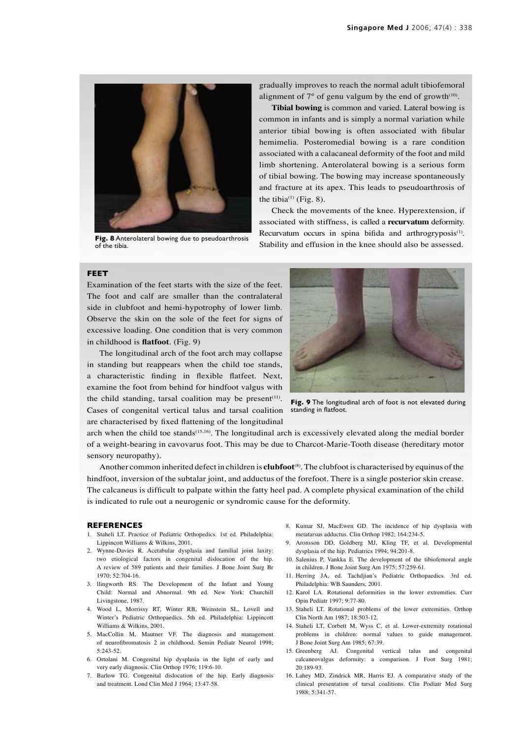

**Fig. 8** Anterolateral bowing due to pseudoarthrosis of the tibia.

gradually improves to reach the normal adult tibiofemoral alignment of  $7^\circ$  of genu valgum by the end of growth<sup>(10)</sup>.

**Tibial bowing** is common and varied. Lateral bowing is common in infants and is simply a normal variation while anterior tibial bowing is often associated with fibular hemimelia. Posteromedial bowing is a rare condition associated with a calacaneal deformity of the foot and mild limb shortening. Anterolateral bowing is a serious form of tibial bowing. The bowing may increase spontaneously and fracture at its apex. This leads to pseudoarthrosis of the tibia<sup>(1)</sup> (Fig. 8).

Check the movements of the knee. Hyperextension, if associated with stiffness, is called a **recurvatum** deformity. Recurvatum occurs in spina bifida and arthrogryposis<sup>(1)</sup>. Stability and effusion in the knee should also be assessed.

#### **FEET**

Examination of the feet starts with the size of the feet. The foot and calf are smaller than the contralateral side in clubfoot and hemi-hypotrophy of lower limb. Observe the skin on the sole of the feet for signs of excessive loading. One condition that is very common in childhood is **flatfoot**. (Fig. 9)

The longitudinal arch of the foot arch may collapse in standing but reappears when the child toe stands, a characteristic finding in flexible flatfeet. Next, examine the foot from behind for hindfoot valgus with the child standing, tarsal coalition may be present<sup> $(11)$ </sup>. Cases of congenital vertical talus and tarsal coalition are characterised by fixed flattening of the longitudinal



**Fig. 9** The longitudinal arch of foot is not elevated during standing in flatfoot.

arch when the child toe stands<sup>(15,16)</sup>. The longitudinal arch is excessively elevated along the medial border of a weight-bearing in cavovarus foot. This may be due to Charcot-Marie-Tooth disease (hereditary motor sensory neuropathy).

Another common inherited defect in children is **clubfoot**(8). The clubfoot is characterised by equinus of the hindfoot, inversion of the subtalar joint, and adductus of the forefoot. There is a single posterior skin crease. The calcaneus is difficult to palpate within the fatty heel pad. A complete physical examination of the child is indicated to rule out a neurogenic or syndromic cause for the deformity.

#### **REFERENCES**

- 1. Staheli LT. Practice of Pediatric Orthopedics. 1st ed. Philadelphia: Lippincott Williams & Wilkins, 2001.
- 2. Wynne-Davies R. Acetabular dysplasia and familial joint laxity: two etiological factors in congenital dislocation of the hip. A review of 589 patients and their families. J Bone Joint Surg Br  $1970 \cdot 52.704 - 16$
- 3. llingworth RS. The Development of the Infant and Young Child: Normal and Abnormal. 9th ed. New York: Churchill Livingstone, 1987.
- 4. Wood L, Morrissy RT, Winter RB, Weinstein SL, Lovell and Winter's Pediatric Orthopaedics. 5th ed. Philadelphia: Lippincott Williams & Wilkins, 2001.
- 5. MacCollin M, Mautner VF. The diagnosis and management of neurofibromatosis 2 in childhood. Semin Pediatr Neurol 1998; 5:243-52.
- 6. Ortolani M. Congenital hip dysplasia in the light of early and very early diagnosis. Clin Orthop 1976; 119:6-10.
- 7. Barlow TG. Congenital dislocation of the hip. Early diagnosis and treatment. Lond Clin Med J 1964; 13:47-58.
- 8. Kumar SJ, MacEwen GD. The incidence of hip dysplasia with metatarsus adductus. Clin Orthop 1982; 164:234-5.
- 9. Aronsson DD, Goldberg MJ, Kling TF, et al. Developmental dysplasia of the hip. Pediatrics 1994; 94:201-8.
- 10. Salenius P, Vankka E. The development of the tibiofemoral angle in children. J Bone Joint Surg Am 1975; 57:259-61.
- 11. Herring JA, ed. Tachdjian's Pediatric Orthopaedics. 3rd ed. Philadelphia: WB Saunders, 2001.
- 12. Karol LA. Rotational deformities in the lower extremities. Curr Opin Pediatr 1997; 9:77-80.
- 13. Staheli LT. Rotational problems of the lower extremities. Orthop Clin North Am 1987; 18:503-12.
- 14. Staheli LT, Corbett M, Wyss C, et al. Lower-extremity rotational problems in children: normal values to guide management. J Bone Joint Surg Am 1985; 67:39.
- 15. Greenberg AJ. Congenital vertical talus and congenital calcaneovalgus deformity: a comparison. J Foot Surg 1981; 20:189-93.
- 16. Lahey MD, Zindrick MR, Harris EJ. A comparative study of the clinical presentation of tarsal coalitions. Clin Podiatr Med Surg 1988; 5:341-57.